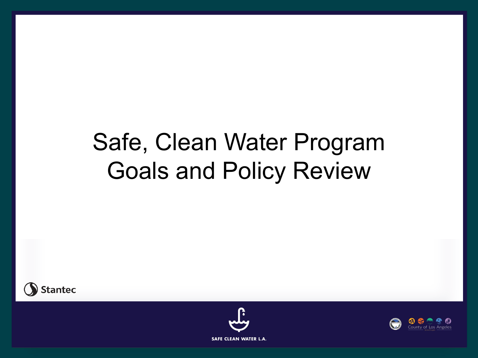### Safe, Clean Water Program Goals and Policy Review





**SAFE CLEAN WATER L.A.** 

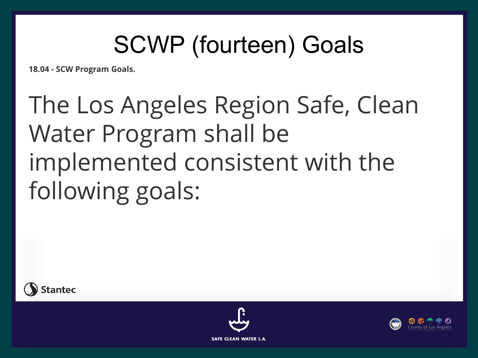## SCWP (fourteen) Goals

**18.04 - SCW Program Goals.**

# The Los Angeles Region Safe, Clean Water Program shall be implemented consistent with the following goals:





**SAFE CLEAN WATER L.A.** 

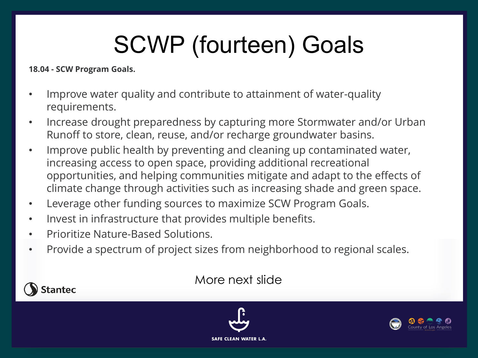# SCWP (fourteen) Goals

**18.04 - SCW Program Goals.**

**Stantec** 

- Improve water quality and contribute to attainment of water-quality requirements.
- Increase drought preparedness by capturing more Stormwater and/or Urban Runoff to store, clean, reuse, and/or recharge groundwater basins.
- Improve public health by preventing and cleaning up contaminated water, increasing access to open space, providing additional recreational opportunities, and helping communities mitigate and adapt to the effects of climate change through activities such as increasing shade and green space.
- Leverage other funding sources to maximize SCW Program Goals.
- Invest in infrastructure that provides multiple benefits.
- Prioritize Nature-Based Solutions.
- Provide a spectrum of project sizes from neighborhood to regional scales.

### More next slide



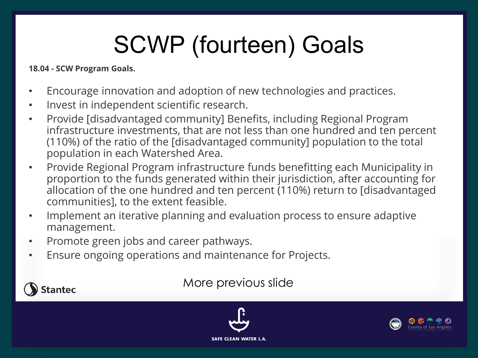# SCWP (fourteen) Goals

#### **18.04 - SCW Program Goals.**

**Stantec** 

- Encourage innovation and adoption of new technologies and practices.
- Invest in independent scientific research.
- Provide [disadvantaged community] Benefits, including Regional Program infrastructure investments, that are not less than one hundred and ten percent (110%) of the ratio of the [disadvantaged community] population to the total population in each Watershed Area.
- Provide Regional Program infrastructure funds benefitting each Municipality in proportion to the funds generated within their jurisdiction, after accounting for allocation of the one hundred and ten percent (110%) return to [disadvantaged communities], to the extent feasible.
- Implement an iterative planning and evaluation process to ensure adaptive management.
- Promote green jobs and career pathways.
- Ensure ongoing operations and maintenance for Projects.

### More previous slide



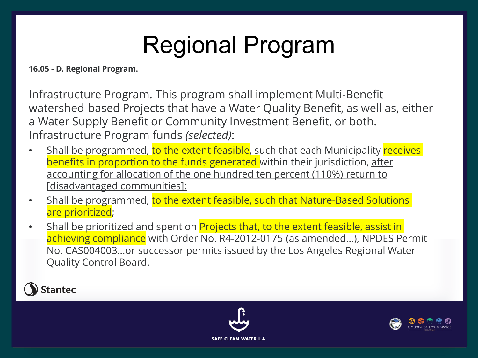## Regional Program

**16.05 - D. Regional Program.**

Infrastructure Program. This program shall implement Multi-Benefit watershed-based Projects that have a Water Quality Benefit, as well as, either a Water Supply Benefit or Community Investment Benefit, or both. Infrastructure Program funds *(selected)*:

- Shall be programmed, to the extent feasible, such that each Municipality receives benefits in proportion to the funds generated within their jurisdiction, after accounting for allocation of the one hundred ten percent (110%) return to [disadvantaged communities];
- Shall be programmed, to the extent feasible, such that Nature-Based Solutions are prioritized;
- Shall be prioritized and spent on **Projects that, to the extent feasible, assist in** achieving compliance with Order No. R4-2012-0175 (as amended…), NPDES Permit No. CAS004003…or successor permits issued by the Los Angeles Regional Water Quality Control Board.





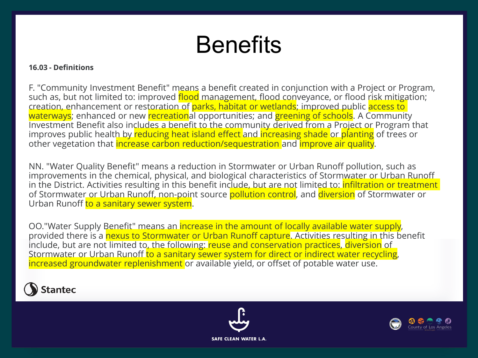### **Benefits**

#### **16.03 - Definitions**

F. "Community Investment Benefit" means a benefit created in conjunction with a Project or Program, such as, but not limited to: improved flood management, flood conveyance, or flood risk mitigation; creation, enhancement or restoration of parks, habitat or wetlands; improved public access to waterways; enhanced or new recreational opportunities; and greening of schools. A Community Investment Benefit also includes a benefit to the community derived from a Project or Program that improves public health by reducing heat island effect and increasing shade or planting of trees or other vegetation that increase carbon reduction/sequestration and improve air quality.

NN. "Water Quality Benefit" means a reduction in Stormwater or Urban Runoff pollution, such as improvements in the chemical, physical, and biological characteristics of Stormwater or Urban Runoff in the District. Activities resulting in this benefit include, but are not limited to: *infiltration or treatment* of Stormwater or Urban Runoff, non-point source pollution control, and diversion of Stormwater or Urban Runoff to a sanitary sewer system.

OO."Water Supply Benefit" means an increase in the amount of locally available water supply, provided there is a nexus to Stormwater or Urban Runoff capture. Activities resulting in this benefit include, but are not limited to, the following: reuse and conservation practices, diversion of Stormwater or Urban Runoff to a sanitary sewer system for direct or indirect water recycling, increased groundwater replenishment or available yield, or offset of potable water use.